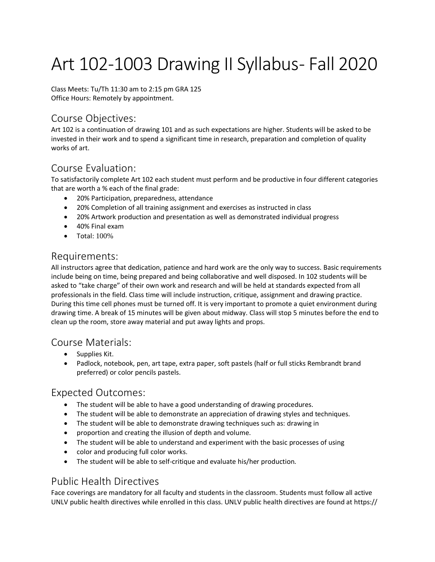# Art 102-1003 Drawing II Syllabus- Fall 2020

Class Meets: Tu/Th 11:30 am to 2:15 pm GRA 125 Office Hours: Remotely by appointment.

#### Course Objectives:

Art 102 is a continuation of drawing 101 and as such expectations are higher. Students will be asked to be invested in their work and to spend a significant time in research, preparation and completion of quality works of art.

#### Course Evaluation:

To satisfactorily complete Art 102 each student must perform and be productive in four different categories that are worth a % each of the final grade:

- 20% Participation, preparedness, attendance
- 20% Completion of all training assignment and exercises as instructed in class
- 20% Artwork production and presentation as well as demonstrated individual progress
- 40% Final exam
- Total: 100%

#### Requirements:

All instructors agree that dedication, patience and hard work are the only way to success. Basic requirements include being on time, being prepared and being collaborative and well disposed. In 102 students will be asked to "take charge" of their own work and research and will be held at standards expected from all professionals in the field. Class time will include instruction, critique, assignment and drawing practice. During this time cell phones must be turned off. It is very important to promote a quiet environment during drawing time. A break of 15 minutes will be given about midway. Class will stop 5 minutes before the end to clean up the room, store away material and put away lights and props.

#### Course Materials:

- Supplies Kit.
- Padlock, notebook, pen, art tape, extra paper, soft pastels (half or full sticks Rembrandt brand preferred) or color pencils pastels.

#### Expected Outcomes:

- The student will be able to have a good understanding of drawing procedures.
- The student will be able to demonstrate an appreciation of drawing styles and techniques.
- The student will be able to demonstrate drawing techniques such as: drawing in
- proportion and creating the illusion of depth and volume.
- The student will be able to understand and experiment with the basic processes of using
- color and producing full color works.
- The student will be able to self-critique and evaluate his/her production.

#### Public Health Directives

Face coverings are mandatory for all faculty and students in the classroom. Students must follow all active UNLV public health directives while enrolled in this class. UNLV public health directives are found at https://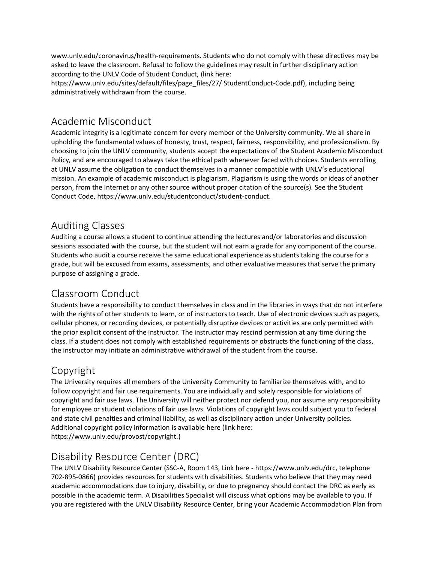www.unlv.edu/coronavirus/health-requirements. Students who do not comply with these directives may be asked to leave the classroom. Refusal to follow the guidelines may result in further disciplinary action according to the UNLV Code of Student Conduct, (link here:

https://www.unlv.edu/sites/default/files/page\_files/27/ StudentConduct-Code.pdf), including being administratively withdrawn from the course.

### Academic Misconduct

Academic integrity is a legitimate concern for every member of the University community. We all share in upholding the fundamental values of honesty, trust, respect, fairness, responsibility, and professionalism. By choosing to join the UNLV community, students accept the expectations of the Student Academic Misconduct Policy, and are encouraged to always take the ethical path whenever faced with choices. Students enrolling at UNLV assume the obligation to conduct themselves in a manner compatible with UNLV's educational mission. An example of academic misconduct is plagiarism. Plagiarism is using the words or ideas of another person, from the Internet or any other source without proper citation of the source(s). See the Student Conduct Code, https://www.unlv.edu/studentconduct/student-conduct.

## Auditing Classes

Auditing a course allows a student to continue attending the lectures and/or laboratories and discussion sessions associated with the course, but the student will not earn a grade for any component of the course. Students who audit a course receive the same educational experience as students taking the course for a grade, but will be excused from exams, assessments, and other evaluative measures that serve the primary purpose of assigning a grade.

## Classroom Conduct

Students have a responsibility to conduct themselves in class and in the libraries in ways that do not interfere with the rights of other students to learn, or of instructors to teach. Use of electronic devices such as pagers, cellular phones, or recording devices, or potentially disruptive devices or activities are only permitted with the prior explicit consent of the instructor. The instructor may rescind permission at any time during the class. If a student does not comply with established requirements or obstructs the functioning of the class, the instructor may initiate an administrative withdrawal of the student from the course.

## Copyright

The University requires all members of the University Community to familiarize themselves with, and to follow copyright and fair use requirements. You are individually and solely responsible for violations of copyright and fair use laws. The University will neither protect nor defend you, nor assume any responsibility for employee or student violations of fair use laws. Violations of copyright laws could subject you to federal and state civil penalties and criminal liability, as well as disciplinary action under University policies. Additional copyright policy information is available here (link here: https://www.unlv.edu/provost/copyright.)

## Disability Resource Center (DRC)

The UNLV Disability Resource Center (SSC-A, Room 143, Link here - https://www.unlv.edu/drc, telephone 702-895-0866) provides resources for students with disabilities. Students who believe that they may need academic accommodations due to injury, disability, or due to pregnancy should contact the DRC as early as possible in the academic term. A Disabilities Specialist will discuss what options may be available to you. If you are registered with the UNLV Disability Resource Center, bring your Academic Accommodation Plan from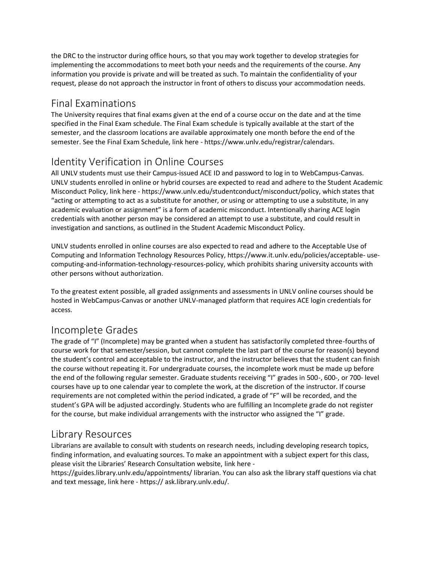the DRC to the instructor during office hours, so that you may work together to develop strategies for implementing the accommodations to meet both your needs and the requirements of the course. Any information you provide is private and will be treated as such. To maintain the confidentiality of your request, please do not approach the instructor in front of others to discuss your accommodation needs.

#### Final Examinations

The University requires that final exams given at the end of a course occur on the date and at the time specified in the Final Exam schedule. The Final Exam schedule is typically available at the start of the semester, and the classroom locations are available approximately one month before the end of the semester. See the Final Exam Schedule, link here - https://www.unlv.edu/registrar/calendars.

## Identity Verification in Online Courses

All UNLV students must use their Campus-issued ACE ID and password to log in to WebCampus-Canvas. UNLV students enrolled in online or hybrid courses are expected to read and adhere to the Student Academic Misconduct Policy, link here - https://www.unlv.edu/studentconduct/misconduct/policy, which states that "acting or attempting to act as a substitute for another, or using or attempting to use a substitute, in any academic evaluation or assignment" is a form of academic misconduct. Intentionally sharing ACE login credentials with another person may be considered an attempt to use a substitute, and could result in investigation and sanctions, as outlined in the Student Academic Misconduct Policy.

UNLV students enrolled in online courses are also expected to read and adhere to the Acceptable Use of Computing and Information Technology Resources Policy, https://www.it.unlv.edu/policies/acceptable- usecomputing-and-information-technology-resources-policy, which prohibits sharing university accounts with other persons without authorization.

To the greatest extent possible, all graded assignments and assessments in UNLV online courses should be hosted in WebCampus-Canvas or another UNLV-managed platform that requires ACE login credentials for access.

#### Incomplete Grades

The grade of "I" (Incomplete) may be granted when a student has satisfactorily completed three-fourths of course work for that semester/session, but cannot complete the last part of the course for reason(s) beyond the student's control and acceptable to the instructor, and the instructor believes that the student can finish the course without repeating it. For undergraduate courses, the incomplete work must be made up before the end of the following regular semester. Graduate students receiving "I" grades in 500-, 600-, or 700- level courses have up to one calendar year to complete the work, at the discretion of the instructor. If course requirements are not completed within the period indicated, a grade of "F" will be recorded, and the student's GPA will be adjusted accordingly. Students who are fulfilling an Incomplete grade do not register for the course, but make individual arrangements with the instructor who assigned the "I" grade.

#### Library Resources

Librarians are available to consult with students on research needs, including developing research topics, finding information, and evaluating sources. To make an appointment with a subject expert for this class, please visit the Libraries' Research Consultation website, link here -

https://guides.library.unlv.edu/appointments/ librarian. You can also ask the library staff questions via chat and text message, link here - https:// ask.library.unlv.edu/.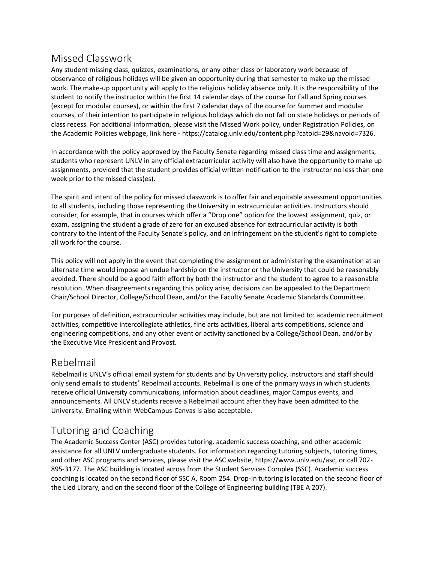## Missed Classwork

Any student missing class, quizzes, examinations, or any other class or laboratory work because of observance of religious holidays will be given an opportunity during that semester to make up the missed work. The make-up opportunity will apply to the religious holiday absence only. It is the responsibility of the student to notify the instructor within the first 14 calendar days of the course for Fall and Spring courses (except for modular courses), or within the first 7 calendar days of the course for Summer and modular courses, of their intention to participate in religious holidays which do not fall on state holidays or periods of class recess. For additional information, please visit the Missed Work policy, under Registration Policies, on the Academic Policies webpage, link here - https://catalog.unlv.edu/content.php?catoid=29&navoid=7326.

In accordance with the policy approved by the Faculty Senate regarding missed class time and assignments, students who represent UNLV in any official extracurricular activity will also have the opportunity to make up assignments, provided that the student provides official written notification to the instructor no less than one week prior to the missed class(es).

The spirit and intent of the policy for missed classwork is to offer fair and equitable assessment opportunities to all students, including those representing the University in extracurricular activities. Instructors should consider, for example, that in courses which offer a "Drop one" option for the lowest assignment, quiz, or exam, assigning the student a grade of zero for an excused absence for extracurricular activity is both contrary to the intent of the Faculty Senate's policy, and an infringement on the student's right to complete all work for the course.

This policy will not apply in the event that completing the assignment or administering the examination at an alternate time would impose an undue hardship on the instructor or the University that could be reasonably avoided. There should be a good faith effort by both the instructor and the student to agree to a reasonable resolution. When disagreements regarding this policy arise, decisions can be appealed to the Department Chair/School Director, College/School Dean, and/or the Faculty Senate Academic Standards Committee.

For purposes of definition, extracurricular activities may include, but are not limited to: academic recruitment activities, competitive intercollegiate athletics, fine arts activities, liberal arts competitions, science and engineering competitions, and any other event or activity sanctioned by a College/School Dean, and/or by the Executive Vice President and Provost.

#### Rebelmail

Rebelmail is UNLV's official email system for students and by University policy, instructors and staff should only send emails to students' Rebelmail accounts. Rebelmail is one of the primary ways in which students receive official University communications, information about deadlines, major Campus events, and announcements. All UNLV students receive a Rebelmail account after they have been admitted to the University. Emailing within WebCampus-Canvas is also acceptable.

#### Tutoring and Coaching

The Academic Success Center (ASC) provides tutoring, academic success coaching, and other academic assistance for all UNLV undergraduate students. For information regarding tutoring subjects, tutoring times, and other ASC programs and services, please visit the ASC website, https://www.unlv.edu/asc, or call 702- 895-3177. The ASC building is located across from the Student Services Complex (SSC). Academic success coaching is located on the second floor of SSC A, Room 254. Drop-in tutoring is located on the second floor of the Lied Library, and on the second floor of the College of Engineering building (TBE A 207).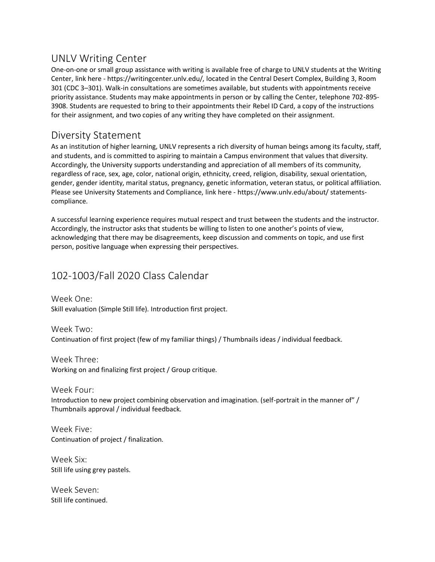#### UNLV Writing Center

One-on-one or small group assistance with writing is available free of charge to UNLV students at the Writing Center, link here - https://writingcenter.unlv.edu/, located in the Central Desert Complex, Building 3, Room 301 (CDC 3–301). Walk-in consultations are sometimes available, but students with appointments receive priority assistance. Students may make appointments in person or by calling the Center, telephone 702-895- 3908. Students are requested to bring to their appointments their Rebel ID Card, a copy of the instructions for their assignment, and two copies of any writing they have completed on their assignment.

#### Diversity Statement

As an institution of higher learning, UNLV represents a rich diversity of human beings among its faculty, staff, and students, and is committed to aspiring to maintain a Campus environment that values that diversity. Accordingly, the University supports understanding and appreciation of all members of its community, regardless of race, sex, age, color, national origin, ethnicity, creed, religion, disability, sexual orientation, gender, gender identity, marital status, pregnancy, genetic information, veteran status, or political affiliation. Please see University Statements and Compliance, link here - https://www.unlv.edu/about/ statementscompliance.

A successful learning experience requires mutual respect and trust between the students and the instructor. Accordingly, the instructor asks that students be willing to listen to one another's points of view, acknowledging that there may be disagreements, keep discussion and comments on topic, and use first person, positive language when expressing their perspectives.

## 102-1003/Fall 2020 Class Calendar

Week One: Skill evaluation (Simple Still life). Introduction first project.

Week Two: Continuation of first project (few of my familiar things) / Thumbnails ideas / individual feedback.

Week Three: Working on and finalizing first project / Group critique.

Week Four: Introduction to new project combining observation and imagination. (self-portrait in the manner of" / Thumbnails approval / individual feedback.

Week Five: Continuation of project / finalization.

Week Six: Still life using grey pastels.

Week Seven: Still life continued.